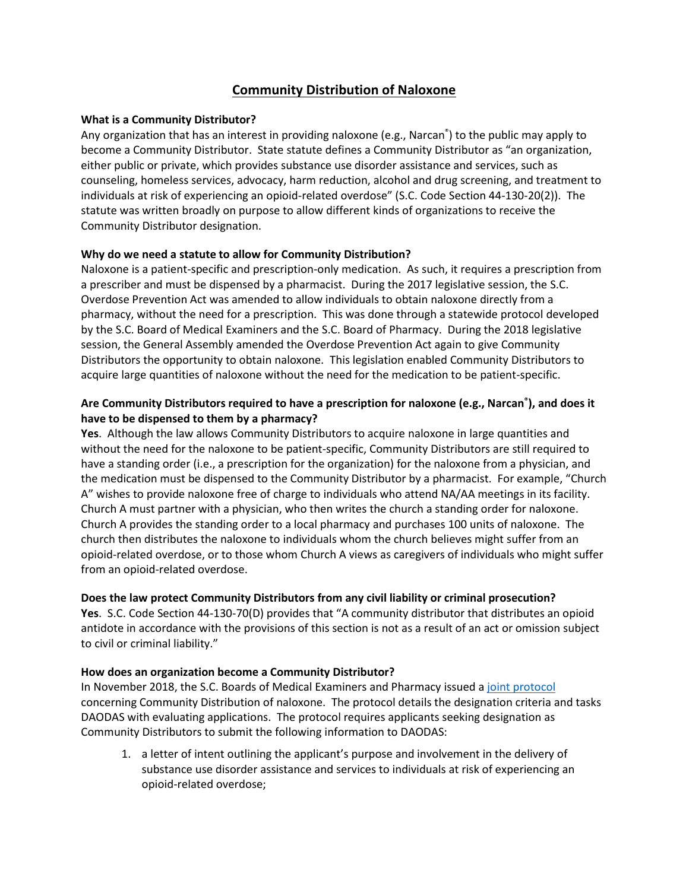# **Community Distribution of Naloxone**

## **What is a Community Distributor?**

Any organization that has an interest in providing naloxone (e.g., Narcan® ) to the public may apply to become a Community Distributor. State statute defines a Community Distributor as "an organization, either public or private, which provides substance use disorder assistance and services, such as counseling, homeless services, advocacy, harm reduction, alcohol and drug screening, and treatment to individuals at risk of experiencing an opioid-related overdose" (S.C. Code Section 44-130-20(2)). The statute was written broadly on purpose to allow different kinds of organizations to receive the Community Distributor designation.

## **Why do we need a statute to allow for Community Distribution?**

Naloxone is a patient-specific and prescription-only medication. As such, it requires a prescription from a prescriber and must be dispensed by a pharmacist. During the 2017 legislative session, the S.C. Overdose Prevention Act was amended to allow individuals to obtain naloxone directly from a pharmacy, without the need for a prescription. This was done through a statewide protocol developed by the S.C. Board of Medical Examiners and the S.C. Board of Pharmacy. During the 2018 legislative session, the General Assembly amended the Overdose Prevention Act again to give Community Distributors the opportunity to obtain naloxone. This legislation enabled Community Distributors to acquire large quantities of naloxone without the need for the medication to be patient-specific.

## **Are Community Distributors required to have a prescription for naloxone (e.g., Narcan® ), and does it have to be dispensed to them by a pharmacy?**

**Yes**. Although the law allows Community Distributors to acquire naloxone in large quantities and without the need for the naloxone to be patient-specific, Community Distributors are still required to have a standing order (i.e., a prescription for the organization) for the naloxone from a physician, and the medication must be dispensed to the Community Distributor by a pharmacist. For example, "Church A" wishes to provide naloxone free of charge to individuals who attend NA/AA meetings in its facility. Church A must partner with a physician, who then writes the church a standing order for naloxone. Church A provides the standing order to a local pharmacy and purchases 100 units of naloxone. The church then distributes the naloxone to individuals whom the church believes might suffer from an opioid-related overdose, or to those whom Church A views as caregivers of individuals who might suffer from an opioid-related overdose.

## **Does the law protect Community Distributors from any civil liability or criminal prosecution?**

**Yes**. S.C. Code Section 44-130-70(D) provides that "A community distributor that distributes an opioid antidote in accordance with the provisions of this section is not as a result of an act or omission subject to civil or criminal liability."

## **How does an organization become a Community Distributor?**

In November 2018, the S.C. Boards of Medical Examiners and Pharmacy issued a [joint protocol](https://llr.sc.gov/med/Policies/Joint%20Community%20Distributor%20Naloxone_Protocol%20with%20Appendix.pdf)  concerning Community Distribution of naloxone. The protocol details the designation criteria and tasks DAODAS with evaluating applications. The protocol requires applicants seeking designation as Community Distributors to submit the following information to DAODAS:

1. a letter of intent outlining the applicant's purpose and involvement in the delivery of substance use disorder assistance and services to individuals at risk of experiencing an opioid-related overdose;